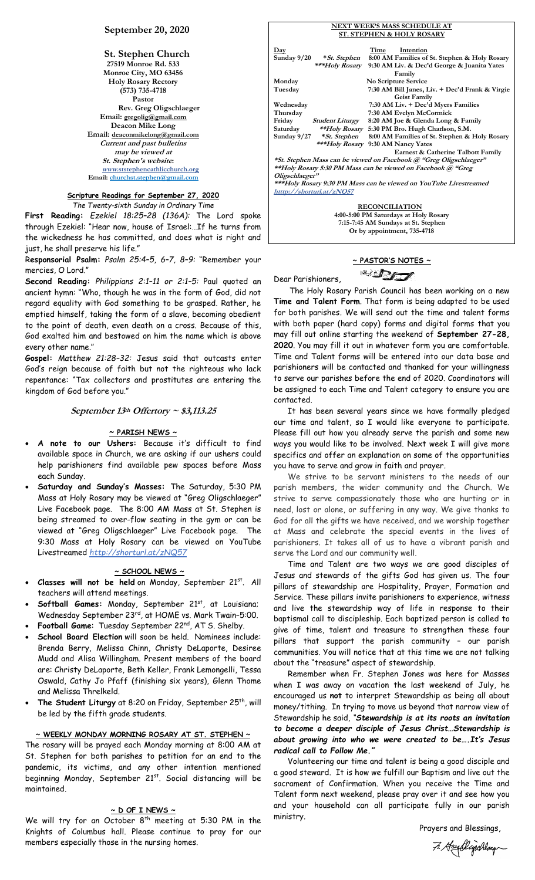## **September 20, 2020**

**St. Stephen Church 27519 Monroe Rd. 533 Monroe City, MO 63456 Holy Rosary Rectory (573) 735-4718 Pastor Rev. Greg Oligschlaeger Email: gregolig@gmail.com Deacon Mike Long Email: deaconmikelong@gmail.com Current and past bulletins may be viewed at St. Stephen's website: www.ststephencathlicchurch.org Email: [churchst.stephen@gmail.com](mailto:churchst.stephen@gmail.com)**

### **Scripture Readings for September 27, 2020** *The Twenty-sixth Sunday in Ordinary Time*

**First Reading:** *Ezekiel 18:25–28 (136A):* The Lord spoke through Ezekiel: "Hear now, house of Israel:…If he turns from the wickedness he has committed, and does what is right and just, he shall preserve his life."

R**esponsorial Psalm:** *Psalm 25:4–5, 6–7, 8–9:* "Remember your mercies, O Lord."

**Second Reading:** *Philippians 2:1–11 or 2:1–5:* Paul quoted an ancient hymn: "Who, though he was in the form of God, did not regard equality with God something to be grasped. Rather, he emptied himself, taking the form of a slave, becoming obedient to the point of death, even death on a cross. Because of this, God exalted him and bestowed on him the name which is above every other name."

**Gospel:** *Matthew 21:28–32:* Jesus said that outcasts enter God's reign because of faith but not the righteous who lack repentance: "Tax collectors and prostitutes are entering the kingdom of God before you."

## **September 13th Offertory ~ \$3,113.25**

### **~ PARISH NEWS ~**

- **A note to our Ushers:** Because it's difficult to find available space in Church, we are asking if our ushers could help parishioners find available pew spaces before Mass each Sunday.
- **Saturday and Sunday's Masses:** The Saturday, 5:30 PM Mass at Holy Rosary may be viewed at "Greg Oligschlaeger" Live Facebook page. The 8:00 AM Mass at St. Stephen is being streamed to over-flow seating in the gym or can be viewed at "Greg Oligschlaeger" Live Facebook page. The 9:30 Mass at Holy Rosary can be viewed on YouTube Livestreamed *http://shorturl.at/zNQ57*

## **~ SCHOOL NEWS ~**

- **Classes will not be held** on Monday, September 21st . All teachers will attend meetings.
- Softball Games: Monday, September 21<sup>st</sup>, at Louisiana; Wednesday September 23rd, at HOME vs. Mark Twain–5:00.
- **Football Game**: Tuesday September 22nd, AT S. Shelby.
- **School Board Election** will soon be held. Nominees include: Brenda Berry, Melissa Chinn, Christy DeLaporte, Desiree Mudd and Alisa Willingham. Present members of the board are: Christy DeLaporte, Beth Keller, Frank Lemongelli, Tessa Oswald, Cathy Jo Pfaff (finishing six years), Glenn Thome and Melissa Threlkeld.
- The Student Liturgy at 8:20 on Friday, September 25<sup>th</sup>, will be led by the fifth grade students.

## **~ WEEKLY MONDAY MORNING ROSARY AT ST. STEPHEN ~**

The rosary will be prayed each Monday morning at 8:00 AM at St. Stephen for both parishes to petition for an end to the pandemic, its victims, and any other intention mentioned beginning Monday, September 21st. Social distancing will be maintained.

# **~ D OF I NEWS ~**

We will try for an October 8<sup>th</sup> meeting at 5:30 PM in the Knights of Columbus hall. Please continue to pray for our members especially those in the nursing homes.

|                |                                    |      | <b>NEXT WEEK'S MASS SCHEDULE AT</b>                                |
|----------------|------------------------------------|------|--------------------------------------------------------------------|
|                |                                    |      | <b>ST. STEPHEN &amp; HOLY ROSARY</b>                               |
|                |                                    |      |                                                                    |
| $_{\rm{Day}}$  |                                    | Time | Intention                                                          |
| Sunday 9/20    | * St. Stephen                      |      | 8:00 AM Families of St. Stephen & Holy Rosary                      |
|                | ***Holy Rosary                     |      | 9:30 AM Liv. & Dec'd George & Juanita Yates                        |
|                |                                    |      | Family                                                             |
| Monday         |                                    |      | No Scripture Service                                               |
| Tuesday        |                                    |      | 7:30 AM Bill Janes, Liv. + Dec'd Frank & Virgie                    |
|                |                                    |      | <b>Geist Family</b>                                                |
| Wednesday      |                                    |      | 7:30 AM Liv. + Dec'd Myers Families                                |
| Thursday       |                                    |      | 7:30 AM Evelyn McCormick                                           |
| Friday         | <i><b>Student Liturgy</b></i>      |      | 8:20 AM Joe & Glenda Long & Family                                 |
| Saturday       |                                    |      | **Holy Rosary 5:30 PM Bro. Hugh Charlson, S.M.                     |
|                | Sunday 9/27 * St. Stephen          |      | 8:00 AM Families of St. Stephen & Holy Rosary                      |
|                | ***Holy Rosary 9:30 AM Nancy Yates |      |                                                                    |
|                |                                    |      | Earnest & Catherine Talbott Family                                 |
|                |                                    |      | *St. Stephen Mass can be viewed on Facebook @ "Greg Oligschlaeger" |
|                |                                    |      | **Holy Rosary 5:30 PM Mass can be viewed on Facebook @ "Greg       |
| Oligschlaeger" |                                    |      |                                                                    |
|                |                                    |      | ***Holy Rosary 9:30 PM Mass can be viewed on YouTube Livestreamed  |
|                | htttp://shorturl.at/zNQ57          |      |                                                                    |
|                |                                    |      | <b>RECONCILIATION</b>                                              |
|                |                                    |      | 4:00-5:00 PM Saturdays at Holy Rosary                              |
|                |                                    |      |                                                                    |

**~ PASTOR'S NOTES ~**

**7:15-7:45 AM Sundays at St. Stephen Or by appointment, 735-4718**

 $\mathbb{Z}$ Dear Parishioners,

 The Holy Rosary Parish Council has been working on a new **Time and Talent Form**. That form is being adapted to be used for both parishes. We will send out the time and talent forms with both paper (hard copy) forms and digital forms that you may fill out online starting the weekend of **September 27-28, 2020**. You may fill it out in whatever form you are comfortable. Time and Talent forms will be entered into our data base and parishioners will be contacted and thanked for your willingness to serve our parishes before the end of 2020. Coordinators will be assigned to each Time and Talent category to ensure you are contacted.

 It has been several years since we have formally pledged our time and talent, so I would like everyone to participate. Please fill out how you already serve the parish and some new ways you would like to be involved. Next week I will give more specifics and offer an explanation on some of the opportunities you have to serve and grow in faith and prayer.

 We strive to be servant ministers to the needs of our parish members, the wider community and the Church. We strive to serve compassionately those who are hurting or in need, lost or alone, or suffering in any way. We give thanks to God for all the gifts we have received, and we worship together at Mass and celebrate the special events in the lives of parishioners. It takes all of us to have a vibrant parish and serve the Lord and our community well.

 Time and Talent are two ways we are good disciples of Jesus and stewards of the gifts God has given us. The four pillars of stewardship are Hospitality, Prayer, Formation and Service. These pillars invite parishioners to experience, witness and live the stewardship way of life in response to their baptismal call to discipleship. Each baptized person is called to give of time, talent and treasure to strengthen these four pillars that support the parish community – our parish communities. You will notice that at this time we are not talking about the "treasure" aspect of stewardship.

 Remember when Fr. Stephen Jones was here for Masses when I was away on vacation the last weekend of July, he encouraged us **not** to interpret Stewardship as being all about money/tithing. In trying to move us beyond that narrow view of Stewardship he said, *"Stewardship is at its roots an invitation to become a deeper disciple of Jesus Christ…Stewardship is about growing into who we were created to be….It's Jesus radical call to Follow Me."*

 Volunteering our time and talent is being a good disciple and a good steward. It is how we fulfill our Baptism and live out the sacrament of Confirmation. When you receive the Time and Talent form next weekend, please pray over it and see how you and your household can all participate fully in our parish ministry.

Prayers and Blessings,

7. Hogelijschlag